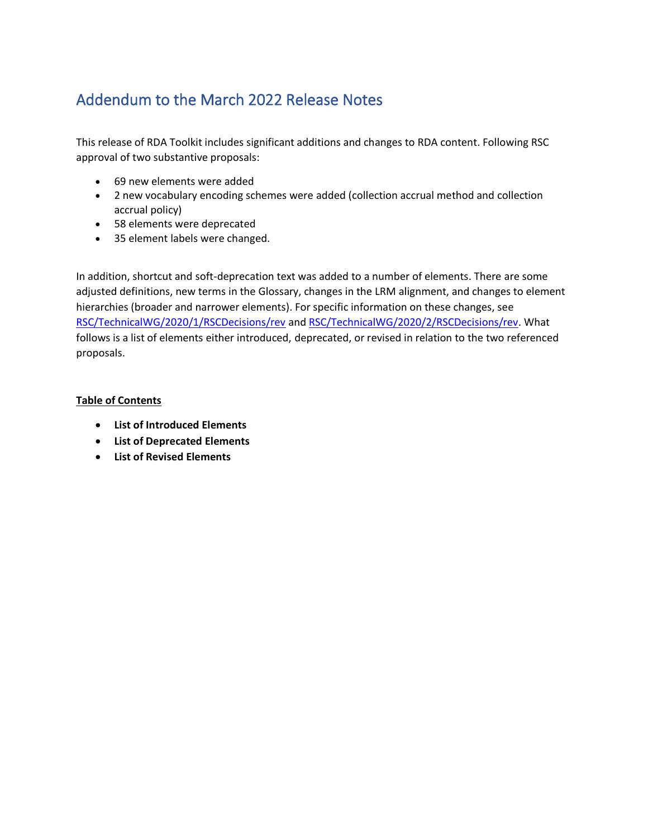# Addendum to the March 2022 Release Notes

This release of RDA Toolkit includes significant additions and changes to RDA content. Following RSC approval of two substantive proposals:

- 69 new elements were added
- 2 new vocabulary encoding schemes were added (collection accrual method and collection accrual policy)
- 58 elements were deprecated
- 35 element labels were changed.

In addition, shortcut and soft-deprecation text was added to a number of elements. There are some adjusted definitions, new terms in the Glossary, changes in the LRM alignment, and changes to element hierarchies (broader and narrower elements). For specific information on these changes, see [RSC/TechnicalWG/2020/1/RSCDecisions/rev](http://www.rda-rsc.org/sites/all/files/RSC-TechnicalWG-2021-1-RSCDecisions-rev.pdf) and [RSC/TechnicalWG/2020/2/RSCDecisions/rev.](http://www.rda-rsc.org/sites/all/files/RSC-TechnicalWG-2021-2-RSCDecisions-rev.pdf) What follows is a list of elements either introduced, deprecated, or revised in relation to the two referenced proposals.

#### **Table of Contents**

- **List of [Introduced Elements](#page-1-0)**
- **[List of Deprecated Elements](#page-4-0)**
- **List [of Revised Elements](#page-6-0)**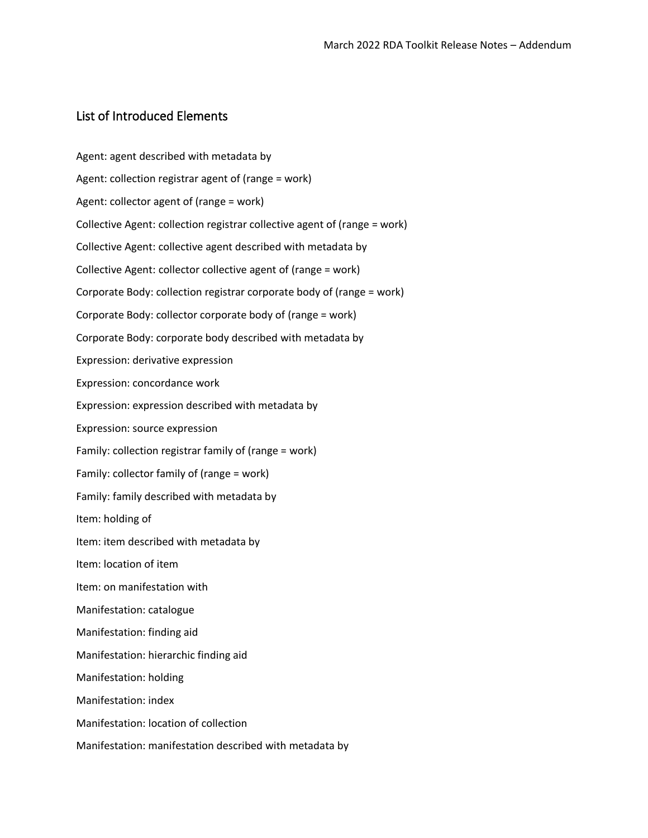### <span id="page-1-0"></span>List of Introduced Elements

Agent: agent described with metadata by Agent: collection registrar agent of (range = work) Agent: collector agent of (range = work) Collective Agent: collection registrar collective agent of (range = work) Collective Agent: collective agent described with metadata by Collective Agent: collector collective agent of (range = work) Corporate Body: collection registrar corporate body of (range = work) Corporate Body: collector corporate body of (range = work) Corporate Body: corporate body described with metadata by Expression: derivative expression Expression: concordance work Expression: expression described with metadata by Expression: source expression Family: collection registrar family of (range = work) Family: collector family of (range = work) Family: family described with metadata by Item: holding of Item: item described with metadata by Item: location of item Item: on manifestation with Manifestation: catalogue Manifestation: finding aid Manifestation: hierarchic finding aid Manifestation: holding Manifestation: index Manifestation: location of collection Manifestation: manifestation described with metadata by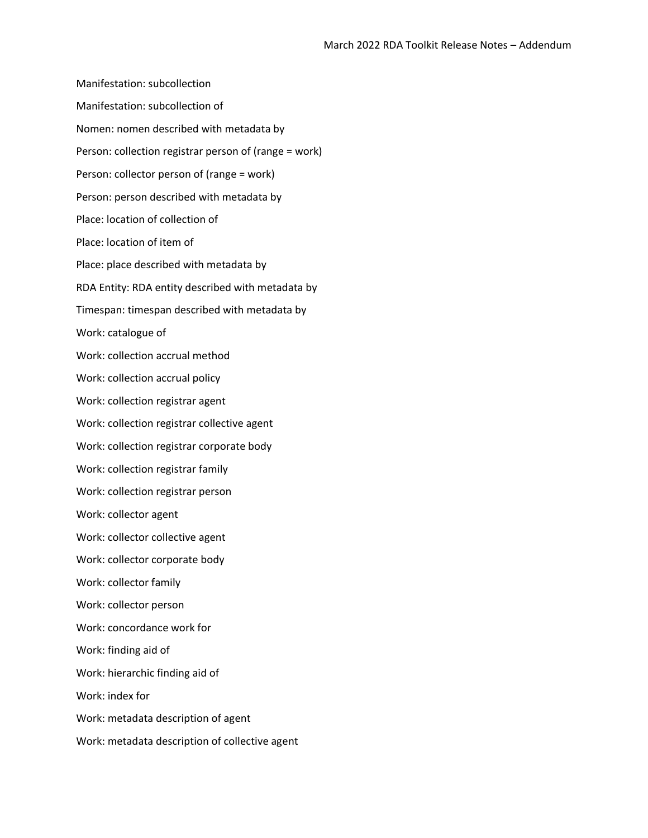Manifestation: subcollection Manifestation: subcollection of Nomen: nomen described with metadata by Person: collection registrar person of (range = work) Person: collector person of (range = work) Person: person described with metadata by Place: location of collection of Place: location of item of Place: place described with metadata by RDA Entity: RDA entity described with metadata by Timespan: timespan described with metadata by Work: catalogue of Work: collection accrual method Work: collection accrual policy Work: collection registrar agent Work: collection registrar collective agent Work: collection registrar corporate body Work: collection registrar family Work: collection registrar person Work: collector agent Work: collector collective agent Work: collector corporate body Work: collector family Work: collector person Work: concordance work for Work: finding aid of Work: hierarchic finding aid of Work: index for Work: metadata description of agent Work: metadata description of collective agent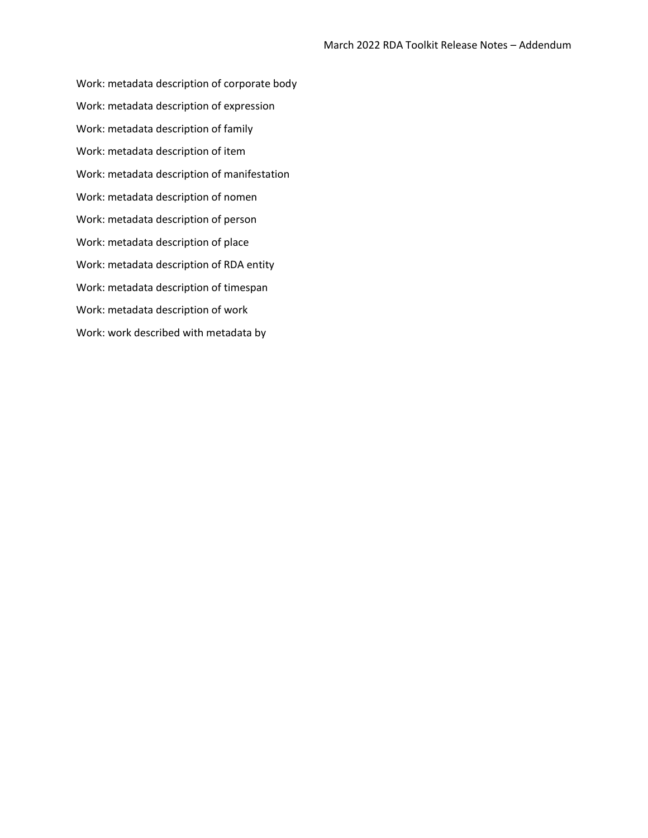Work: metadata description of corporate body Work: metadata description of expression Work: metadata description of family Work: metadata description of item Work: metadata description of manifestation Work: metadata description of nomen Work: metadata description of person Work: metadata description of place Work: metadata description of RDA entity Work: metadata description of timespan Work: metadata description of work Work: work described with metadata by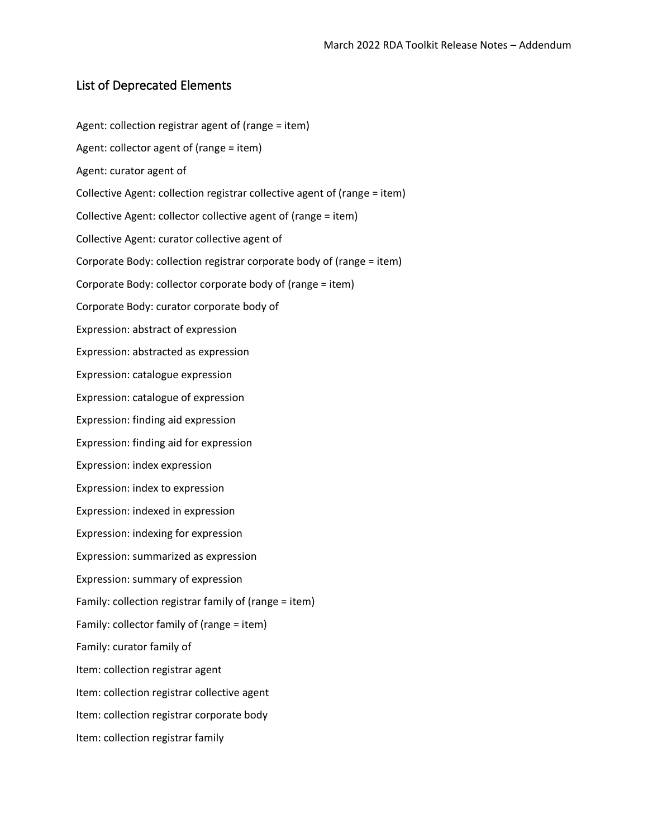### <span id="page-4-0"></span>List of Deprecated Elements

Agent: collection registrar agent of (range = item) Agent: collector agent of (range = item) Agent: curator agent of Collective Agent: collection registrar collective agent of (range = item) Collective Agent: collector collective agent of (range = item) Collective Agent: curator collective agent of Corporate Body: collection registrar corporate body of (range = item) Corporate Body: collector corporate body of (range = item) Corporate Body: curator corporate body of Expression: abstract of expression Expression: abstracted as expression Expression: catalogue expression Expression: catalogue of expression Expression: finding aid expression Expression: finding aid for expression Expression: index expression Expression: index to expression Expression: indexed in expression Expression: indexing for expression Expression: summarized as expression Expression: summary of expression Family: collection registrar family of (range = item) Family: collector family of (range = item) Family: curator family of Item: collection registrar agent Item: collection registrar collective agent Item: collection registrar corporate body Item: collection registrar family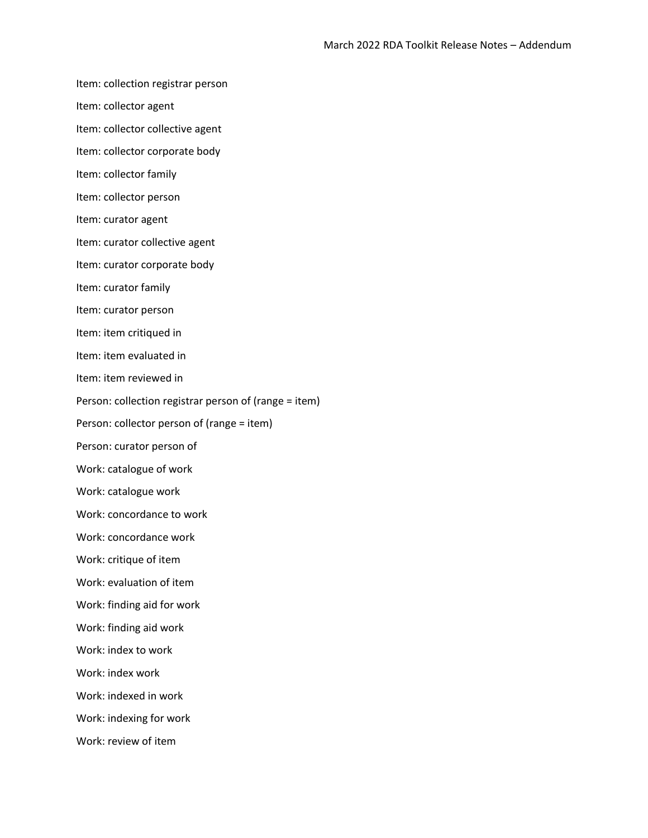Item: collection registrar person

Item: collector agent

Item: collector collective agent

Item: collector corporate body

Item: collector family

Item: collector person

Item: curator agent

Item: curator collective agent

Item: curator corporate body

Item: curator family

Item: curator person

Item: item critiqued in

Item: item evaluated in

Item: item reviewed in

Person: collection registrar person of (range = item)

Person: collector person of (range = item)

Person: curator person of

Work: catalogue of work

Work: catalogue work

Work: concordance to work

Work: concordance work

Work: critique of item

Work: evaluation of item

Work: finding aid for work

Work: finding aid work

Work: index to work

Work: index work

Work: indexed in work

Work: indexing for work

Work: review of item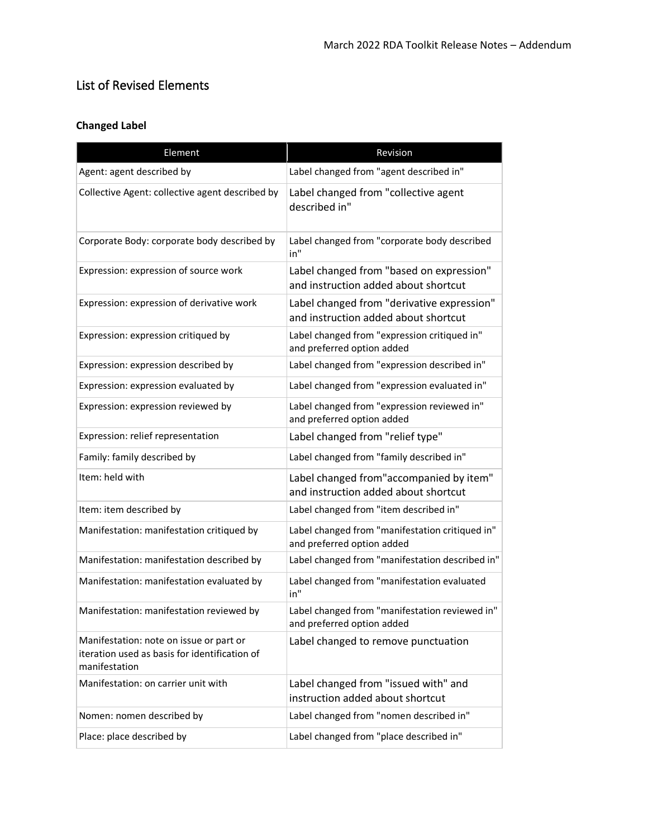# <span id="page-6-0"></span>List of Revised Elements

# **Changed Label**

| Element                                                                                                   | Revision                                                                           |
|-----------------------------------------------------------------------------------------------------------|------------------------------------------------------------------------------------|
| Agent: agent described by                                                                                 | Label changed from "agent described in"                                            |
| Collective Agent: collective agent described by                                                           | Label changed from "collective agent<br>described in"                              |
| Corporate Body: corporate body described by                                                               | Label changed from "corporate body described<br>in"                                |
| Expression: expression of source work                                                                     | Label changed from "based on expression"<br>and instruction added about shortcut   |
| Expression: expression of derivative work                                                                 | Label changed from "derivative expression"<br>and instruction added about shortcut |
| Expression: expression critiqued by                                                                       | Label changed from "expression critiqued in"<br>and preferred option added         |
| Expression: expression described by                                                                       | Label changed from "expression described in"                                       |
| Expression: expression evaluated by                                                                       | Label changed from "expression evaluated in"                                       |
| Expression: expression reviewed by                                                                        | Label changed from "expression reviewed in"<br>and preferred option added          |
| Expression: relief representation                                                                         | Label changed from "relief type"                                                   |
| Family: family described by                                                                               | Label changed from "family described in"                                           |
| Item: held with                                                                                           | Label changed from"accompanied by item"<br>and instruction added about shortcut    |
| Item: item described by                                                                                   | Label changed from "item described in"                                             |
| Manifestation: manifestation critiqued by                                                                 | Label changed from "manifestation critiqued in"<br>and preferred option added      |
| Manifestation: manifestation described by                                                                 | Label changed from "manifestation described in"                                    |
| Manifestation: manifestation evaluated by                                                                 | Label changed from "manifestation evaluated<br>in"                                 |
| Manifestation: manifestation reviewed by                                                                  | Label changed from "manifestation reviewed in"<br>and preferred option added       |
| Manifestation: note on issue or part or<br>iteration used as basis for identification of<br>manifestation | Label changed to remove punctuation                                                |
| Manifestation: on carrier unit with                                                                       | Label changed from "issued with" and<br>instruction added about shortcut           |
| Nomen: nomen described by                                                                                 | Label changed from "nomen described in"                                            |
| Place: place described by                                                                                 | Label changed from "place described in"                                            |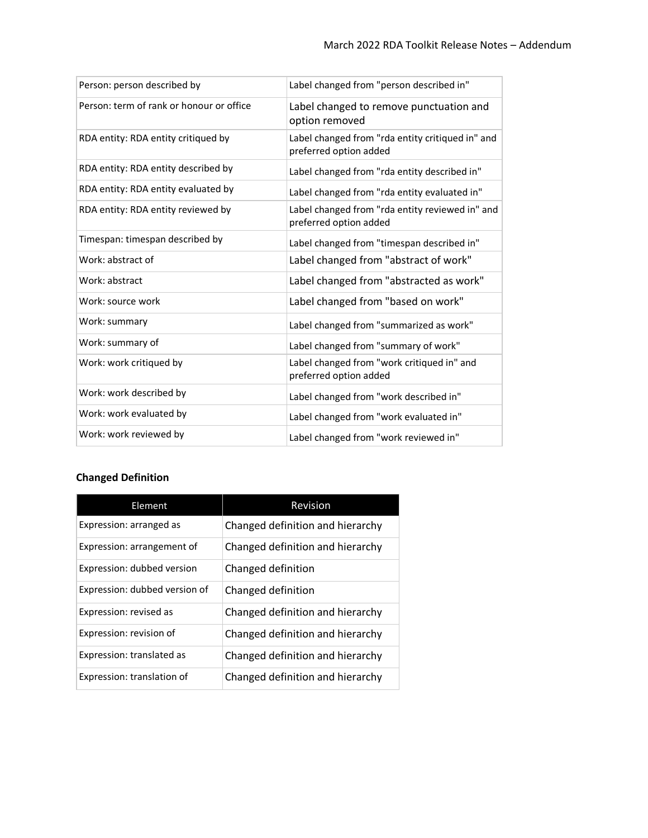| Person: person described by              | Label changed from "person described in"                                   |
|------------------------------------------|----------------------------------------------------------------------------|
| Person: term of rank or honour or office | Label changed to remove punctuation and<br>option removed                  |
| RDA entity: RDA entity critiqued by      | Label changed from "rda entity critiqued in" and<br>preferred option added |
| RDA entity: RDA entity described by      | Label changed from "rda entity described in"                               |
| RDA entity: RDA entity evaluated by      | Label changed from "rda entity evaluated in"                               |
| RDA entity: RDA entity reviewed by       | Label changed from "rda entity reviewed in" and<br>preferred option added  |
| Timespan: timespan described by          | Label changed from "timespan described in"                                 |
| Work: abstract of                        | Label changed from "abstract of work"                                      |
| Work: abstract                           | Label changed from "abstracted as work"                                    |
| Work: source work                        | Label changed from "based on work"                                         |
| Work: summary                            | Label changed from "summarized as work"                                    |
| Work: summary of                         | Label changed from "summary of work"                                       |
| Work: work critiqued by                  | Label changed from "work critiqued in" and<br>preferred option added       |
| Work: work described by                  | Label changed from "work described in"                                     |
| Work: work evaluated by                  | Label changed from "work evaluated in"                                     |
| Work: work reviewed by                   | Label changed from "work reviewed in"                                      |

## **Changed Definition**

| Element                       | Revision                         |
|-------------------------------|----------------------------------|
| Expression: arranged as       | Changed definition and hierarchy |
| Expression: arrangement of    | Changed definition and hierarchy |
| Expression: dubbed version    | Changed definition               |
| Expression: dubbed version of | Changed definition               |
| Expression: revised as        | Changed definition and hierarchy |
| Expression: revision of       | Changed definition and hierarchy |
| Expression: translated as     | Changed definition and hierarchy |
| Expression: translation of    | Changed definition and hierarchy |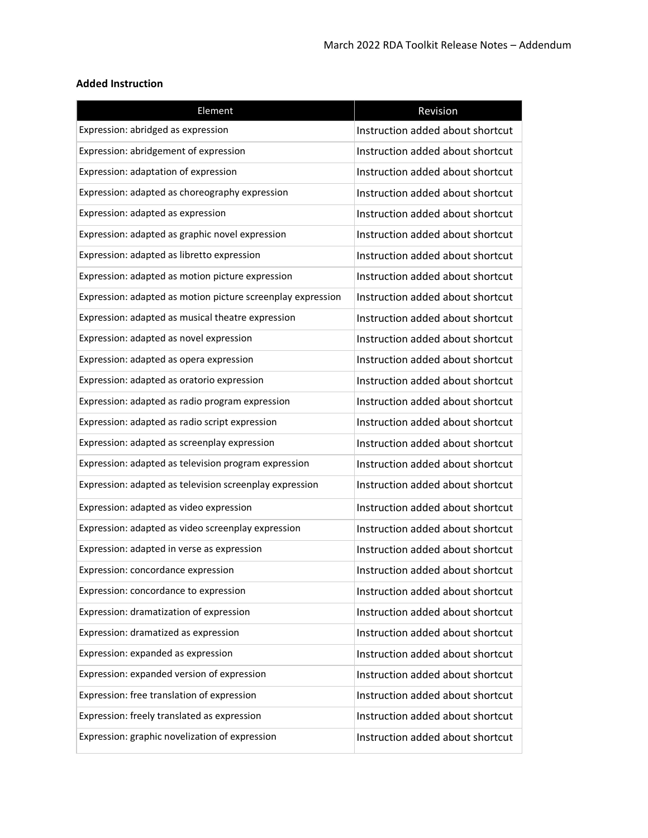### **Added Instruction**

| Element                                                     | Revision                         |
|-------------------------------------------------------------|----------------------------------|
| Expression: abridged as expression                          | Instruction added about shortcut |
| Expression: abridgement of expression                       | Instruction added about shortcut |
| Expression: adaptation of expression                        | Instruction added about shortcut |
| Expression: adapted as choreography expression              | Instruction added about shortcut |
| Expression: adapted as expression                           | Instruction added about shortcut |
| Expression: adapted as graphic novel expression             | Instruction added about shortcut |
| Expression: adapted as libretto expression                  | Instruction added about shortcut |
| Expression: adapted as motion picture expression            | Instruction added about shortcut |
| Expression: adapted as motion picture screenplay expression | Instruction added about shortcut |
| Expression: adapted as musical theatre expression           | Instruction added about shortcut |
| Expression: adapted as novel expression                     | Instruction added about shortcut |
| Expression: adapted as opera expression                     | Instruction added about shortcut |
| Expression: adapted as oratorio expression                  | Instruction added about shortcut |
| Expression: adapted as radio program expression             | Instruction added about shortcut |
| Expression: adapted as radio script expression              | Instruction added about shortcut |
| Expression: adapted as screenplay expression                | Instruction added about shortcut |
| Expression: adapted as television program expression        | Instruction added about shortcut |
| Expression: adapted as television screenplay expression     | Instruction added about shortcut |
| Expression: adapted as video expression                     | Instruction added about shortcut |
| Expression: adapted as video screenplay expression          | Instruction added about shortcut |
| Expression: adapted in verse as expression                  | Instruction added about shortcut |
| Expression: concordance expression                          | Instruction added about shortcut |
| Expression: concordance to expression                       | Instruction added about shortcut |
| Expression: dramatization of expression                     | Instruction added about shortcut |
| Expression: dramatized as expression                        | Instruction added about shortcut |
| Expression: expanded as expression                          | Instruction added about shortcut |
| Expression: expanded version of expression                  | Instruction added about shortcut |
| Expression: free translation of expression                  | Instruction added about shortcut |
| Expression: freely translated as expression                 | Instruction added about shortcut |
| Expression: graphic novelization of expression              | Instruction added about shortcut |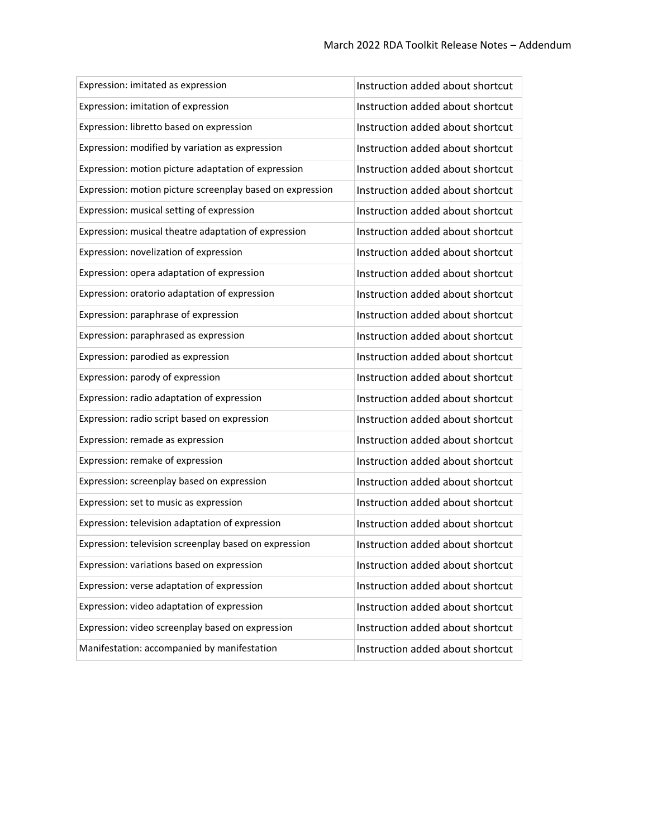| Expression: imitated as expression                        | Instruction added about shortcut |
|-----------------------------------------------------------|----------------------------------|
| Expression: imitation of expression                       | Instruction added about shortcut |
| Expression: libretto based on expression                  | Instruction added about shortcut |
| Expression: modified by variation as expression           | Instruction added about shortcut |
| Expression: motion picture adaptation of expression       | Instruction added about shortcut |
| Expression: motion picture screenplay based on expression | Instruction added about shortcut |
| Expression: musical setting of expression                 | Instruction added about shortcut |
| Expression: musical theatre adaptation of expression      | Instruction added about shortcut |
| Expression: novelization of expression                    | Instruction added about shortcut |
| Expression: opera adaptation of expression                | Instruction added about shortcut |
| Expression: oratorio adaptation of expression             | Instruction added about shortcut |
| Expression: paraphrase of expression                      | Instruction added about shortcut |
| Expression: paraphrased as expression                     | Instruction added about shortcut |
| Expression: parodied as expression                        | Instruction added about shortcut |
| Expression: parody of expression                          | Instruction added about shortcut |
| Expression: radio adaptation of expression                | Instruction added about shortcut |
| Expression: radio script based on expression              | Instruction added about shortcut |
| Expression: remade as expression                          | Instruction added about shortcut |
| Expression: remake of expression                          | Instruction added about shortcut |
| Expression: screenplay based on expression                | Instruction added about shortcut |
| Expression: set to music as expression                    | Instruction added about shortcut |
| Expression: television adaptation of expression           | Instruction added about shortcut |
| Expression: television screenplay based on expression     | Instruction added about shortcut |
| Expression: variations based on expression                | Instruction added about shortcut |
| Expression: verse adaptation of expression                | Instruction added about shortcut |
| Expression: video adaptation of expression                | Instruction added about shortcut |
| Expression: video screenplay based on expression          | Instruction added about shortcut |
| Manifestation: accompanied by manifestation               | Instruction added about shortcut |